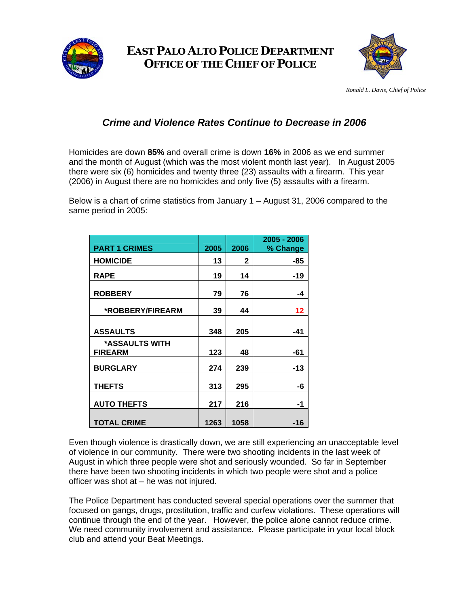

## **EAST PALO ALTO POLICE DEPARTMENT OFFICE OF THE CHIEF OF POLICE**



*Ronald L. Davis, Chief of Police* 

## *Crime and Violence Rates Continue to Decrease in 2006*

Homicides are down **85%** and overall crime is down **16%** in 2006 as we end summer and the month of August (which was the most violent month last year). In August 2005 there were six (6) homicides and twenty three (23) assaults with a firearm. This year (2006) in August there are no homicides and only five (5) assaults with a firearm.

Below is a chart of crime statistics from January 1 – August 31, 2006 compared to the same period in 2005:

|                                  |      |      | 2005 - 2006 |
|----------------------------------|------|------|-------------|
| <b>PART 1 CRIMES</b>             | 2005 | 2006 | % Change    |
| <b>HOMICIDE</b>                  | 13   | 2    | -85         |
| <b>RAPE</b>                      | 19   | 14   | -19         |
| <b>ROBBERY</b>                   | 79   | 76   | -4          |
| *ROBBERY/FIREARM                 | 39   | 44   | 12          |
| <b>ASSAULTS</b>                  | 348  | 205  | -41         |
| *ASSAULTS WITH<br><b>FIREARM</b> | 123  | 48   | -61         |
| <b>BURGLARY</b>                  | 274  | 239  | $-13$       |
| <b>THEFTS</b>                    | 313  | 295  | -6          |
| <b>AUTO THEFTS</b>               | 217  | 216  | -1          |
| <b>TOTAL CRIME</b>               | 1263 | 1058 | -16         |

Even though violence is drastically down, we are still experiencing an unacceptable level of violence in our community. There were two shooting incidents in the last week of August in which three people were shot and seriously wounded. So far in September there have been two shooting incidents in which two people were shot and a police officer was shot at – he was not injured.

The Police Department has conducted several special operations over the summer that focused on gangs, drugs, prostitution, traffic and curfew violations. These operations will continue through the end of the year. However, the police alone cannot reduce crime. We need community involvement and assistance. Please participate in your local block club and attend your Beat Meetings.